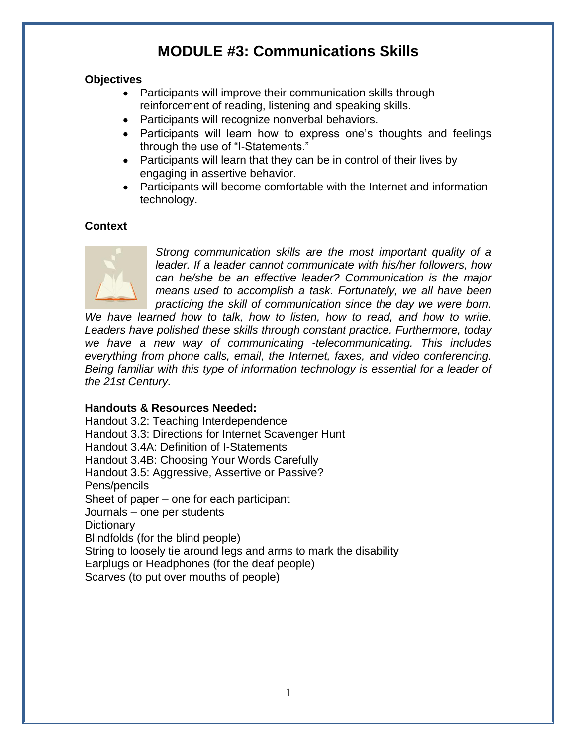# **MODULE #3: Communications Skills**

### **Objectives**

- Participants will improve their communication skills through reinforcement of reading, listening and speaking skills.
- Participants will recognize nonverbal behaviors.
- Participants will learn how to express one's thoughts and feelings through the use of "I-Statements."
- Participants will learn that they can be in control of their lives by engaging in assertive behavior.
- Participants will become comfortable with the Internet and information technology.

## **Context**



*Strong communication skills are the most important quality of a leader. If a leader cannot communicate with his/her followers, how can he/she be an effective leader? Communication is the major means used to accomplish a task. Fortunately, we all have been practicing the skill of communication since the day we were born.* 

*We have learned how to talk, how to listen, how to read, and how to write. Leaders have polished these skills through constant practice. Furthermore, today we have a new way of communicating -telecommunicating. This includes everything from phone calls, email, the Internet, faxes, and video conferencing. Being familiar with this type of information technology is essential for a leader of the 21st Century.*

## **Handouts & Resources Needed:**

Handout 3.2: Teaching Interdependence Handout 3.3: Directions for Internet Scavenger Hunt Handout 3.4A: Definition of I-Statements Handout 3.4B: Choosing Your Words Carefully Handout 3.5: Aggressive, Assertive or Passive? Pens/pencils Sheet of paper – one for each participant Journals – one per students **Dictionary** Blindfolds (for the blind people) String to loosely tie around legs and arms to mark the disability Earplugs or Headphones (for the deaf people) Scarves (to put over mouths of people)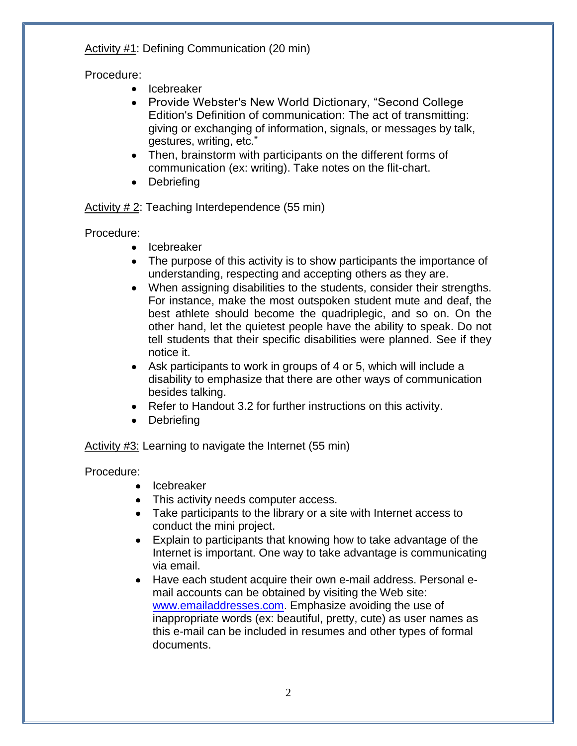Activity #1: Defining Communication (20 min)

Procedure:

- Icebreaker
- Provide Webster's New World Dictionary, "Second College Edition's Definition of communication: The act of transmitting: giving or exchanging of information, signals, or messages by talk, gestures, writing, etc."
- Then, brainstorm with participants on the different forms of communication (ex: writing). Take notes on the flit-chart.
- Debriefing

Activity # 2: Teaching Interdependence (55 min)

Procedure:

- Icebreaker
- The purpose of this activity is to show participants the importance of understanding, respecting and accepting others as they are.
- When assigning disabilities to the students, consider their strengths. For instance, make the most outspoken student mute and deaf, the best athlete should become the quadriplegic, and so on. On the other hand, let the quietest people have the ability to speak. Do not tell students that their specific disabilities were planned. See if they notice it.
- Ask participants to work in groups of 4 or 5, which will include a disability to emphasize that there are other ways of communication besides talking.
- Refer to Handout 3.2 for further instructions on this activity.
- Debriefing

Activity #3: Learning to navigate the Internet (55 min)

Procedure:

- Icebreaker
- This activity needs computer access.
- Take participants to the library or a site with Internet access to conduct the mini project.
- Explain to participants that knowing how to take advantage of the  $\bullet$ Internet is important. One way to take advantage is communicating via email.
- $\bullet$ Have each student acquire their own e-mail address. Personal email accounts can be obtained by visiting the Web site: [www.emailaddresses.com.](http://www.emailaddresses.com/) Emphasize avoiding the use of inappropriate words (ex: beautiful, pretty, cute) as user names as this e-mail can be included in resumes and other types of formal documents.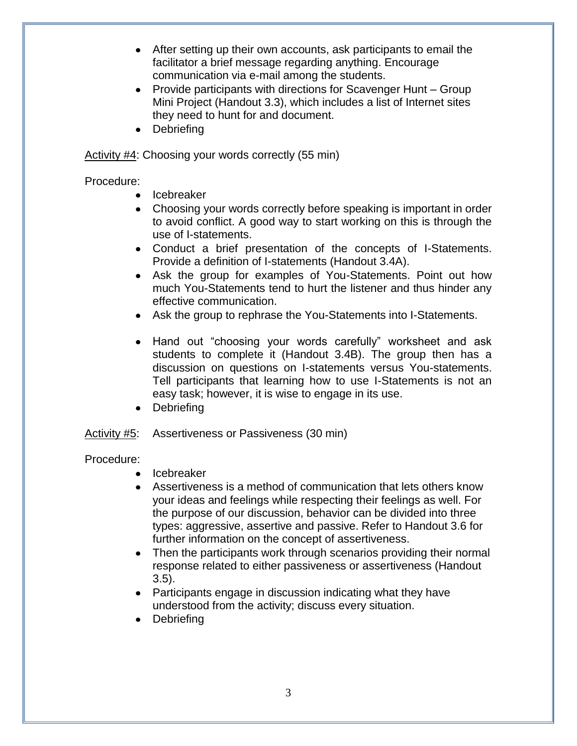- After setting up their own accounts, ask participants to email the facilitator a brief message regarding anything. Encourage communication via e-mail among the students.
- Provide participants with directions for Scavenger Hunt Group Mini Project (Handout 3.3), which includes a list of Internet sites they need to hunt for and document.
- **Debriefing**  $\bullet$

Activity #4: Choosing your words correctly (55 min)

Procedure:

- $\bullet$ Icebreaker
- Choosing your words correctly before speaking is important in order to avoid conflict. A good way to start working on this is through the use of I-statements.
- Conduct a brief presentation of the concepts of I-Statements. Provide a definition of I-statements (Handout 3.4A).
- Ask the group for examples of You-Statements. Point out how  $\bullet$ much You-Statements tend to hurt the listener and thus hinder any effective communication.
- Ask the group to rephrase the You-Statements into I-Statements.
- Hand out "choosing your words carefully" worksheet and ask students to complete it (Handout 3.4B). The group then has a discussion on questions on I-statements versus You-statements. Tell participants that learning how to use I-Statements is not an easy task; however, it is wise to engage in its use.
- Debriefina

Activity #5: Assertiveness or Passiveness (30 min)

## Procedure:

- Icebreaker  $\bullet$
- Assertiveness is a method of communication that lets others know your ideas and feelings while respecting their feelings as well. For the purpose of our discussion, behavior can be divided into three types: aggressive, assertive and passive. Refer to Handout 3.6 for further information on the concept of assertiveness.
- Then the participants work through scenarios providing their normal  $\bullet$ response related to either passiveness or assertiveness (Handout 3.5).
- Participants engage in discussion indicating what they have understood from the activity; discuss every situation.
- **Debriefing**  $\bullet$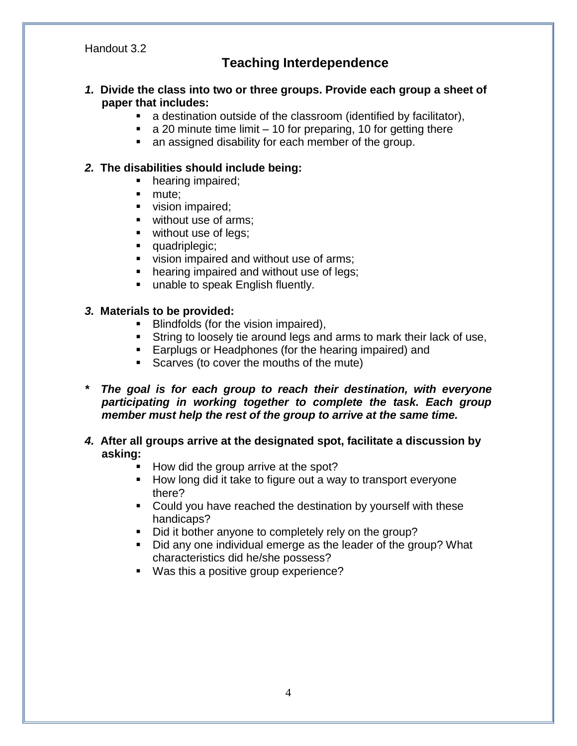#### Handout 3.2

# **Teaching Interdependence**

#### *1.* **Divide the class into two or three groups. Provide each group a sheet of paper that includes:**

- a destination outside of the classroom (identified by facilitator),
- $\blacksquare$  a 20 minute time limit 10 for preparing, 10 for getting there
- an assigned disability for each member of the group.

### *2.* **The disabilities should include being:**

- hearing impaired;
- mute:
- vision impaired;
- **without use of arms;**
- **without use of legs;**
- **quadriplegic;**
- vision impaired and without use of arms;
- hearing impaired and without use of legs;
- **unable to speak English fluently.**

### *3.* **Materials to be provided:**

- **Blindfolds (for the vision impaired),**
- String to loosely tie around legs and arms to mark their lack of use,
- **Earplugs or Headphones (for the hearing impaired) and**
- Scarves (to cover the mouths of the mute)
- *\* The goal is for each group to reach their destination, with everyone participating in working together to complete the task. Each group member must help the rest of the group to arrive at the same time.*
- *4.* **After all groups arrive at the designated spot, facilitate a discussion by asking:**
	- $\blacksquare$  How did the group arrive at the spot?
	- How long did it take to figure out a way to transport everyone there?
	- Could you have reached the destination by yourself with these handicaps?
	- Did it bother anyone to completely rely on the group?
	- Did any one individual emerge as the leader of the group? What characteristics did he/she possess?
	- Was this a positive group experience?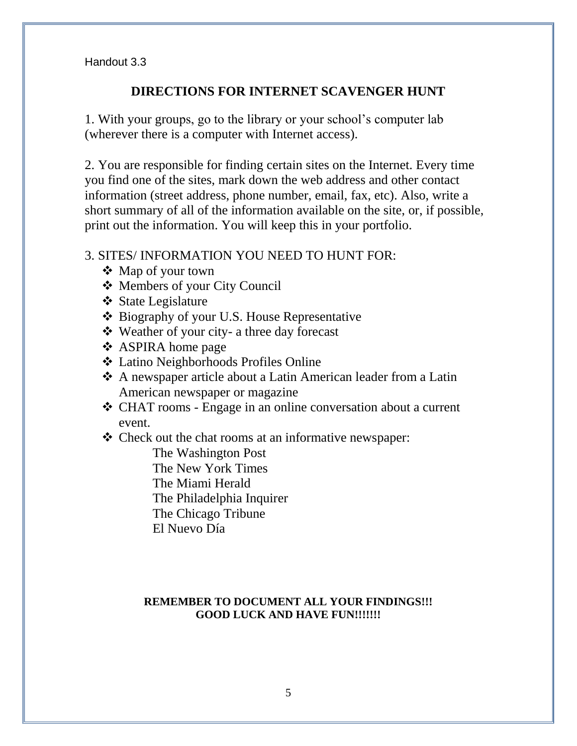Handout 3.3

## **DIRECTIONS FOR INTERNET SCAVENGER HUNT**

1. With your groups, go to the library or your school's computer lab (wherever there is a computer with Internet access).

2. You are responsible for finding certain sites on the Internet. Every time you find one of the sites, mark down the web address and other contact information (street address, phone number, email, fax, etc). Also, write a short summary of all of the information available on the site, or, if possible, print out the information. You will keep this in your portfolio.

### 3. SITES/ INFORMATION YOU NEED TO HUNT FOR:

- ❖ Map of your town
- Members of your City Council
- ❖ State Legislature
- Biography of your U.S. House Representative
- Weather of your city- a three day forecast
- **❖** ASPIRA home page
- Latino Neighborhoods Profiles Online
- A newspaper article about a Latin American leader from a Latin American newspaper or magazine
- CHAT rooms Engage in an online conversation about a current event.
- Check out the chat rooms at an informative newspaper:

The Washington Post The New York Times The Miami Herald The Philadelphia Inquirer The Chicago Tribune El Nuevo Día

#### **REMEMBER TO DOCUMENT ALL YOUR FINDINGS!!! GOOD LUCK AND HAVE FUN!!!!!!!**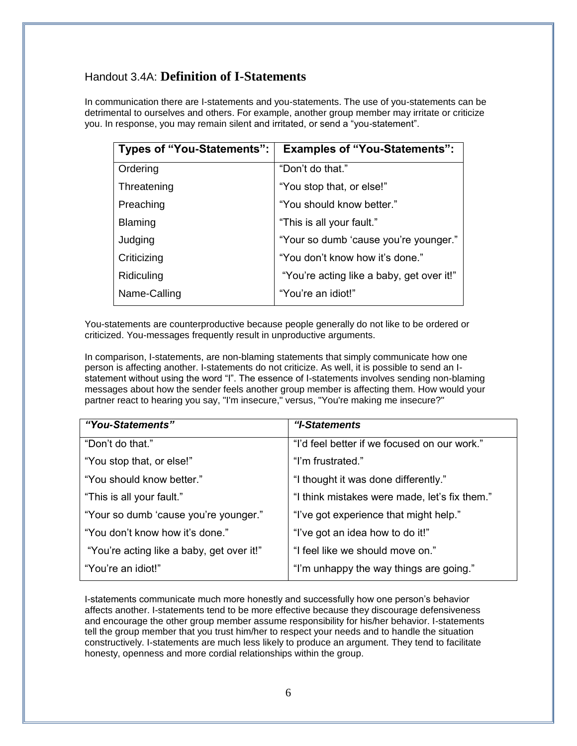## Handout 3.4A: **Definition of I-Statements**

In communication there are I-statements and you-statements. The use of you-statements can be detrimental to ourselves and others. For example, another group member may irritate or criticize you. In response, you may remain silent and irritated, or send a "you-statement".

| Types of "You-Statements": | <b>Examples of "You-Statements":</b>      |
|----------------------------|-------------------------------------------|
| Ordering                   | "Don't do that."                          |
| Threatening                | "You stop that, or else!"                 |
| Preaching                  | "You should know better."                 |
| <b>Blaming</b>             | "This is all your fault."                 |
| Judging                    | "Your so dumb 'cause you're younger."     |
| Criticizing                | "You don't know how it's done."           |
| Ridiculing                 | "You're acting like a baby, get over it!" |
| Name-Calling               | "You're an idiot!"                        |

You-statements are counterproductive because people generally do not like to be ordered or criticized. You-messages frequently result in unproductive arguments.

In comparison, I-statements, are non-blaming statements that simply communicate how one person is affecting another. I-statements do not criticize. As well, it is possible to send an Istatement without using the word "I". The essence of I-statements involves sending non-blaming messages about how the sender feels another group member is affecting them. How would your partner react to hearing you say, "I'm insecure," versus, "You're making me insecure?"

| "You-Statements"                          | "I-Statements                                 |
|-------------------------------------------|-----------------------------------------------|
| "Don't do that."                          | "I'd feel better if we focused on our work."  |
| "You stop that, or else!"                 | "I'm frustrated."                             |
| "You should know better."                 | "I thought it was done differently."          |
| "This is all your fault."                 | "I think mistakes were made, let's fix them." |
| "Your so dumb 'cause you're younger."     | "I've got experience that might help."        |
| "You don't know how it's done."           | "I've got an idea how to do it!"              |
| "You're acting like a baby, get over it!" | "I feel like we should move on."              |
| "You're an idiot!"                        | "I'm unhappy the way things are going."       |

I-statements communicate much more honestly and successfully how one person's behavior affects another. I-statements tend to be more effective because they discourage defensiveness and encourage the other group member assume responsibility for his/her behavior. I-statements tell the group member that you trust him/her to respect your needs and to handle the situation constructively. I-statements are much less likely to produce an argument. They tend to facilitate honesty, openness and more cordial relationships within the group.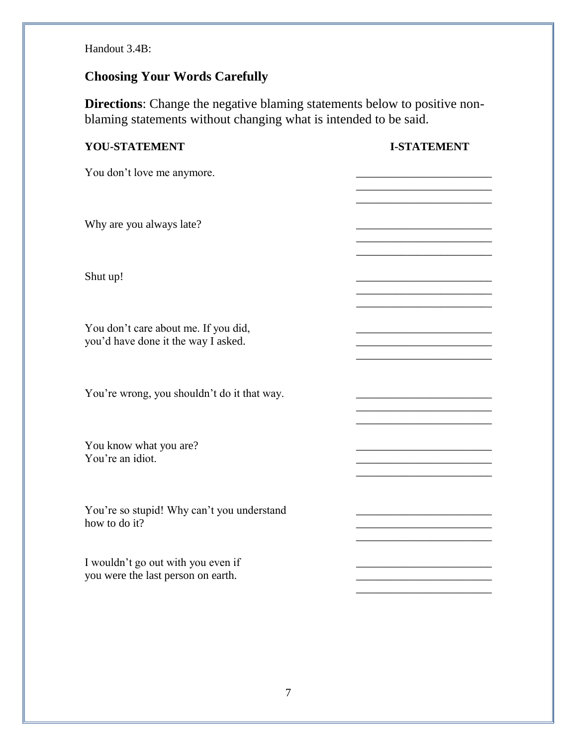Handout 3.4B:

# **Choosing Your Words Carefully**

**Directions**: Change the negative blaming statements below to positive nonblaming statements without changing what is intended to be said.

| YOU-STATEMENT                                                               | <b>I-STATEMENT</b>                                          |
|-----------------------------------------------------------------------------|-------------------------------------------------------------|
| You don't love me anymore.                                                  |                                                             |
| Why are you always late?                                                    | the control of the control of the control of the control of |
| Shut up!                                                                    |                                                             |
| You don't care about me. If you did,<br>you'd have done it the way I asked. |                                                             |
| You're wrong, you shouldn't do it that way.                                 |                                                             |
| You know what you are?<br>You're an idiot.                                  |                                                             |
| You're so stupid! Why can't you understand<br>how to do it?                 | <u> 1999 - Johann John Stone, mars et al. (</u>             |
| I wouldn't go out with you even if<br>you were the last person on earth.    | <u> 1989 - Johann John Stone, mars et al. (</u>             |